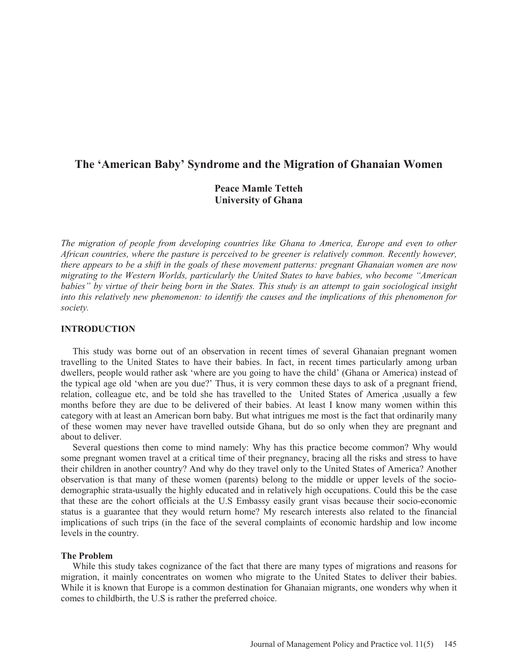# **The 'American Baby' Syndrome and the Migration of Ghanaian Women**

# **Peace Mamle Tetteh University of Ghana**

*The migration of people from developing countries like Ghana to America, Europe and even to other African countries, where the pasture is perceived to be greener is relatively common. Recently however, there appears to be a shift in the goals of these movement patterns: pregnant Ghanaian women are now migrating to the Western Worlds, particularly the United States to have babies, who become "American babies" by virtue of their being born in the States. This study is an attempt to gain sociological insight into this relatively new phenomenon: to identify the causes and the implications of this phenomenon for society.* 

# **INTRODUCTION**

 This study was borne out of an observation in recent times of several Ghanaian pregnant women travelling to the United States to have their babies. In fact, in recent times particularly among urban dwellers, people would rather ask 'where are you going to have the child' (Ghana or America) instead of the typical age old 'when are you due?' Thus, it is very common these days to ask of a pregnant friend, relation, colleague etc, and be told she has travelled to the United States of America ,usually a few months before they are due to be delivered of their babies. At least I know many women within this category with at least an American born baby. But what intrigues me most is the fact that ordinarily many of these women may never have travelled outside Ghana, but do so only when they are pregnant and about to deliver.

 Several questions then come to mind namely: Why has this practice become common? Why would some pregnant women travel at a critical time of their pregnancy, bracing all the risks and stress to have their children in another country? And why do they travel only to the United States of America? Another observation is that many of these women (parents) belong to the middle or upper levels of the sociodemographic strata-usually the highly educated and in relatively high occupations. Could this be the case that these are the cohort officials at the U.S Embassy easily grant visas because their socio-economic status is a guarantee that they would return home? My research interests also related to the financial implications of such trips (in the face of the several complaints of economic hardship and low income levels in the country.

## **The Problem**

 While this study takes cognizance of the fact that there are many types of migrations and reasons for migration, it mainly concentrates on women who migrate to the United States to deliver their babies. While it is known that Europe is a common destination for Ghanaian migrants, one wonders why when it comes to childbirth, the U.S is rather the preferred choice.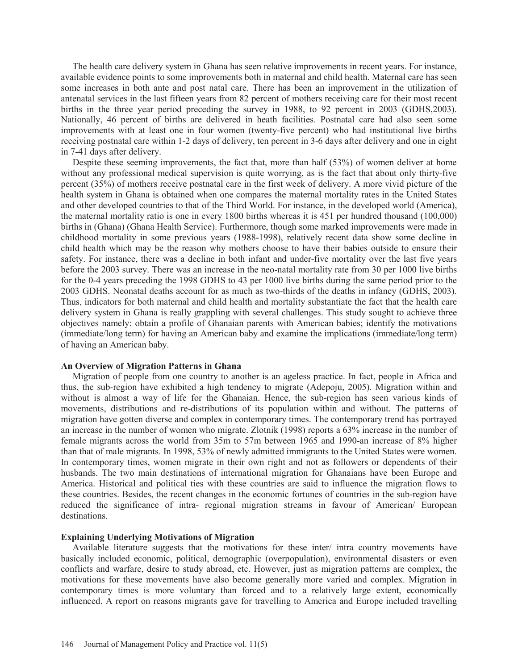The health care delivery system in Ghana has seen relative improvements in recent years. For instance, available evidence points to some improvements both in maternal and child health. Maternal care has seen some increases in both ante and post natal care. There has been an improvement in the utilization of antenatal services in the last fifteen years from 82 percent of mothers receiving care for their most recent births in the three year period preceding the survey in 1988, to 92 percent in 2003 (GDHS,2003). Nationally, 46 percent of births are delivered in heath facilities. Postnatal care had also seen some improvements with at least one in four women (twenty-five percent) who had institutional live births receiving postnatal care within 1-2 days of delivery, ten percent in 3-6 days after delivery and one in eight in 7-41 days after delivery.

 Despite these seeming improvements, the fact that, more than half (53%) of women deliver at home without any professional medical supervision is quite worrying, as is the fact that about only thirty-five percent (35%) of mothers receive postnatal care in the first week of delivery. A more vivid picture of the health system in Ghana is obtained when one compares the maternal mortality rates in the United States and other developed countries to that of the Third World. For instance, in the developed world (America), the maternal mortality ratio is one in every 1800 births whereas it is 451 per hundred thousand (100,000) births in (Ghana) (Ghana Health Service). Furthermore, though some marked improvements were made in childhood mortality in some previous years (1988-1998), relatively recent data show some decline in child health which may be the reason why mothers choose to have their babies outside to ensure their safety. For instance, there was a decline in both infant and under-five mortality over the last five years before the 2003 survey. There was an increase in the neo-natal mortality rate from 30 per 1000 live births for the 0-4 years preceding the 1998 GDHS to 43 per 1000 live births during the same period prior to the 2003 GDHS. Neonatal deaths account for as much as two-thirds of the deaths in infancy (GDHS, 2003). Thus, indicators for both maternal and child health and mortality substantiate the fact that the health care delivery system in Ghana is really grappling with several challenges. This study sought to achieve three objectives namely: obtain a profile of Ghanaian parents with American babies; identify the motivations (immediate/long term) for having an American baby and examine the implications (immediate/long term) of having an American baby.

#### **An Overview of Migration Patterns in Ghana**

 Migration of people from one country to another is an ageless practice. In fact, people in Africa and thus, the sub-region have exhibited a high tendency to migrate (Adepoju, 2005). Migration within and without is almost a way of life for the Ghanaian. Hence, the sub-region has seen various kinds of movements, distributions and re-distributions of its population within and without. The patterns of migration have gotten diverse and complex in contemporary times. The contemporary trend has portrayed an increase in the number of women who migrate. Zlotnik (1998) reports a 63% increase in the number of female migrants across the world from 35m to 57m between 1965 and 1990-an increase of 8% higher than that of male migrants. In 1998, 53% of newly admitted immigrants to the United States were women. In contemporary times, women migrate in their own right and not as followers or dependents of their husbands. The two main destinations of international migration for Ghanaians have been Europe and America. Historical and political ties with these countries are said to influence the migration flows to these countries. Besides, the recent changes in the economic fortunes of countries in the sub-region have reduced the significance of intra- regional migration streams in favour of American/ European destinations.

# **Explaining Underlying Motivations of Migration**

 Available literature suggests that the motivations for these inter/ intra country movements have basically included economic, political, demographic (overpopulation), environmental disasters or even conflicts and warfare, desire to study abroad, etc. However, just as migration patterns are complex, the motivations for these movements have also become generally more varied and complex. Migration in contemporary times is more voluntary than forced and to a relatively large extent, economically influenced. A report on reasons migrants gave for travelling to America and Europe included travelling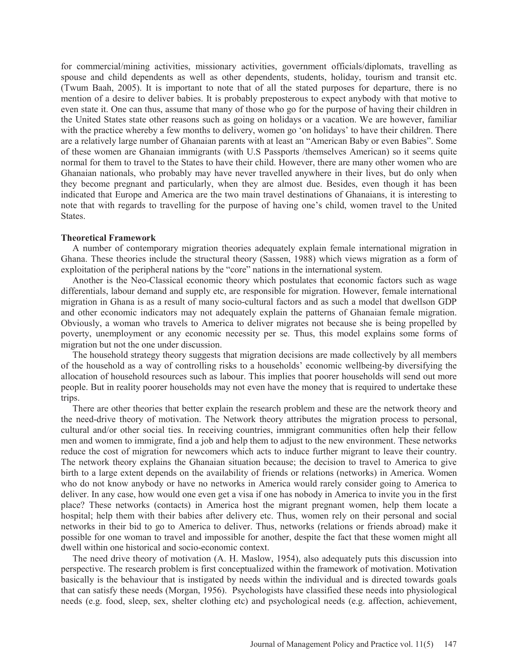for commercial/mining activities, missionary activities, government officials/diplomats, travelling as spouse and child dependents as well as other dependents, students, holiday, tourism and transit etc. (Twum Baah, 2005). It is important to note that of all the stated purposes for departure, there is no mention of a desire to deliver babies. It is probably preposterous to expect anybody with that motive to even state it. One can thus, assume that many of those who go for the purpose of having their children in the United States state other reasons such as going on holidays or a vacation. We are however, familiar with the practice whereby a few months to delivery, women go 'on holidays' to have their children. There are a relatively large number of Ghanaian parents with at least an "American Baby or even Babies". Some of these women are Ghanaian immigrants (with U.S Passports /themselves American) so it seems quite normal for them to travel to the States to have their child. However, there are many other women who are Ghanaian nationals, who probably may have never travelled anywhere in their lives, but do only when they become pregnant and particularly, when they are almost due. Besides, even though it has been indicated that Europe and America are the two main travel destinations of Ghanaians, it is interesting to note that with regards to travelling for the purpose of having one's child, women travel to the United States.

## **Theoretical Framework**

 A number of contemporary migration theories adequately explain female international migration in Ghana. These theories include the structural theory (Sassen, 1988) which views migration as a form of exploitation of the peripheral nations by the "core" nations in the international system.

 Another is the Neo-Classical economic theory which postulates that economic factors such as wage differentials, labour demand and supply etc, are responsible for migration. However, female international migration in Ghana is as a result of many socio-cultural factors and as such a model that dwellson GDP and other economic indicators may not adequately explain the patterns of Ghanaian female migration. Obviously, a woman who travels to America to deliver migrates not because she is being propelled by poverty, unemployment or any economic necessity per se. Thus, this model explains some forms of migration but not the one under discussion.

 The household strategy theory suggests that migration decisions are made collectively by all members of the household as a way of controlling risks to a households' economic wellbeing-by diversifying the allocation of household resources such as labour. This implies that poorer households will send out more people. But in reality poorer households may not even have the money that is required to undertake these trips.

 There are other theories that better explain the research problem and these are the network theory and the need-drive theory of motivation. The Network theory attributes the migration process to personal, cultural and/or other social ties. In receiving countries, immigrant communities often help their fellow men and women to immigrate, find a job and help them to adjust to the new environment. These networks reduce the cost of migration for newcomers which acts to induce further migrant to leave their country. The network theory explains the Ghanaian situation because; the decision to travel to America to give birth to a large extent depends on the availability of friends or relations (networks) in America. Women who do not know anybody or have no networks in America would rarely consider going to America to deliver. In any case, how would one even get a visa if one has nobody in America to invite you in the first place? These networks (contacts) in America host the migrant pregnant women, help them locate a hospital; help them with their babies after delivery etc. Thus, women rely on their personal and social networks in their bid to go to America to deliver. Thus, networks (relations or friends abroad) make it possible for one woman to travel and impossible for another, despite the fact that these women might all dwell within one historical and socio-economic context.

 The need drive theory of motivation (A. H. Maslow, 1954), also adequately puts this discussion into perspective. The research problem is first conceptualized within the framework of motivation. Motivation basically is the behaviour that is instigated by needs within the individual and is directed towards goals that can satisfy these needs (Morgan, 1956). Psychologists have classified these needs into physiological needs (e.g. food, sleep, sex, shelter clothing etc) and psychological needs (e.g. affection, achievement,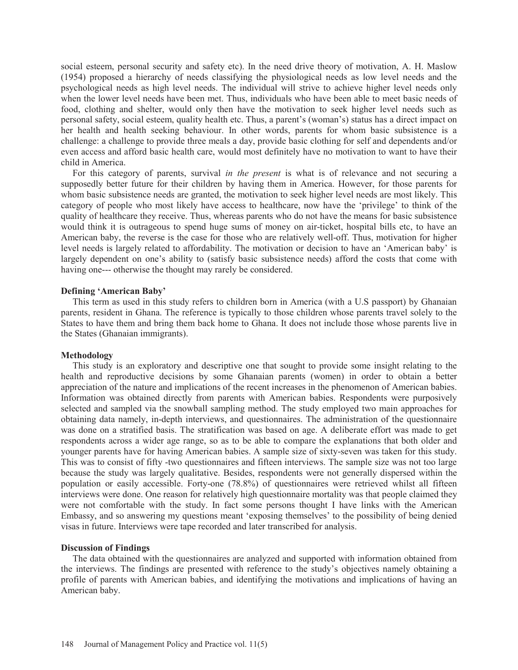social esteem, personal security and safety etc). In the need drive theory of motivation, A. H. Maslow (1954) proposed a hierarchy of needs classifying the physiological needs as low level needs and the psychological needs as high level needs. The individual will strive to achieve higher level needs only when the lower level needs have been met. Thus, individuals who have been able to meet basic needs of food, clothing and shelter, would only then have the motivation to seek higher level needs such as personal safety, social esteem, quality health etc. Thus, a parent's (woman's) status has a direct impact on her health and health seeking behaviour. In other words, parents for whom basic subsistence is a challenge: a challenge to provide three meals a day, provide basic clothing for self and dependents and/or even access and afford basic health care, would most definitely have no motivation to want to have their child in America.

 For this category of parents, survival *in the present* is what is of relevance and not securing a supposedly better future for their children by having them in America. However, for those parents for whom basic subsistence needs are granted, the motivation to seek higher level needs are most likely. This category of people who most likely have access to healthcare, now have the 'privilege' to think of the quality of healthcare they receive. Thus, whereas parents who do not have the means for basic subsistence would think it is outrageous to spend huge sums of money on air-ticket, hospital bills etc, to have an American baby, the reverse is the case for those who are relatively well-off. Thus, motivation for higher level needs is largely related to affordability. The motivation or decision to have an 'American baby' is largely dependent on one's ability to (satisfy basic subsistence needs) afford the costs that come with having one--- otherwise the thought may rarely be considered.

## **Defining 'American Baby'**

 This term as used in this study refers to children born in America (with a U.S passport) by Ghanaian parents, resident in Ghana. The reference is typically to those children whose parents travel solely to the States to have them and bring them back home to Ghana. It does not include those whose parents live in the States (Ghanaian immigrants).

## **Methodology**

 This study is an exploratory and descriptive one that sought to provide some insight relating to the health and reproductive decisions by some Ghanaian parents (women) in order to obtain a better appreciation of the nature and implications of the recent increases in the phenomenon of American babies. Information was obtained directly from parents with American babies. Respondents were purposively selected and sampled via the snowball sampling method. The study employed two main approaches for obtaining data namely, in-depth interviews, and questionnaires. The administration of the questionnaire was done on a stratified basis. The stratification was based on age. A deliberate effort was made to get respondents across a wider age range, so as to be able to compare the explanations that both older and younger parents have for having American babies. A sample size of sixty-seven was taken for this study. This was to consist of fifty -two questionnaires and fifteen interviews. The sample size was not too large because the study was largely qualitative. Besides, respondents were not generally dispersed within the population or easily accessible. Forty-one (78.8%) of questionnaires were retrieved whilst all fifteen interviews were done. One reason for relatively high questionnaire mortality was that people claimed they were not comfortable with the study. In fact some persons thought I have links with the American Embassy, and so answering my questions meant 'exposing themselves' to the possibility of being denied visas in future. Interviews were tape recorded and later transcribed for analysis.

## **Discussion of Findings**

 The data obtained with the questionnaires are analyzed and supported with information obtained from the interviews. The findings are presented with reference to the study's objectives namely obtaining a profile of parents with American babies, and identifying the motivations and implications of having an American baby.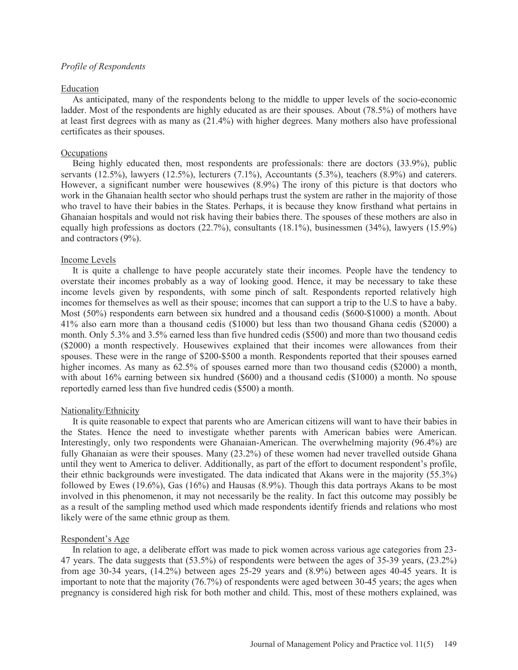## *Profile of Respondents*

#### Education

 As anticipated, many of the respondents belong to the middle to upper levels of the socio-economic ladder. Most of the respondents are highly educated as are their spouses. About (78.5%) of mothers have at least first degrees with as many as (21.4%) with higher degrees. Many mothers also have professional certificates as their spouses.

# **Occupations**

 Being highly educated then, most respondents are professionals: there are doctors (33.9%), public servants (12.5%), lawyers (12.5%), lecturers (7.1%), Accountants (5.3%), teachers (8.9%) and caterers. However, a significant number were housewives (8.9%) The irony of this picture is that doctors who work in the Ghanaian health sector who should perhaps trust the system are rather in the majority of those who travel to have their babies in the States. Perhaps, it is because they know firsthand what pertains in Ghanaian hospitals and would not risk having their babies there. The spouses of these mothers are also in equally high professions as doctors (22.7%), consultants (18.1%), businessmen (34%), lawyers (15.9%) and contractors (9%).

#### Income Levels

 It is quite a challenge to have people accurately state their incomes. People have the tendency to overstate their incomes probably as a way of looking good. Hence, it may be necessary to take these income levels given by respondents, with some pinch of salt. Respondents reported relatively high incomes for themselves as well as their spouse; incomes that can support a trip to the U.S to have a baby. Most (50%) respondents earn between six hundred and a thousand cedis (\$600-\$1000) a month. About 41% also earn more than a thousand cedis (\$1000) but less than two thousand Ghana cedis (\$2000) a month. Only 5.3% and 3.5% earned less than five hundred cedis (\$500) and more than two thousand cedis (\$2000) a month respectively. Housewives explained that their incomes were allowances from their spouses. These were in the range of \$200-\$500 a month. Respondents reported that their spouses earned higher incomes. As many as 62.5% of spouses earned more than two thousand cedis (\$2000) a month, with about 16% earning between six hundred (\$600) and a thousand cedis (\$1000) a month. No spouse reportedly earned less than five hundred cedis (\$500) a month.

#### Nationality/Ethnicity

 It is quite reasonable to expect that parents who are American citizens will want to have their babies in the States. Hence the need to investigate whether parents with American babies were American. Interestingly, only two respondents were Ghanaian-American. The overwhelming majority (96.4%) are fully Ghanaian as were their spouses. Many (23.2%) of these women had never travelled outside Ghana until they went to America to deliver. Additionally, as part of the effort to document respondent's profile, their ethnic backgrounds were investigated. The data indicated that Akans were in the majority (55.3%) followed by Ewes (19.6%), Gas (16%) and Hausas (8.9%). Though this data portrays Akans to be most involved in this phenomenon, it may not necessarily be the reality. In fact this outcome may possibly be as a result of the sampling method used which made respondents identify friends and relations who most likely were of the same ethnic group as them.

#### Respondent's Age

 In relation to age, a deliberate effort was made to pick women across various age categories from 23- 47 years. The data suggests that (53.5%) of respondents were between the ages of 35-39 years, (23.2%) from age 30-34 years, (14.2%) between ages 25-29 years and (8.9%) between ages 40-45 years. It is important to note that the majority (76.7%) of respondents were aged between 30-45 years; the ages when pregnancy is considered high risk for both mother and child. This, most of these mothers explained, was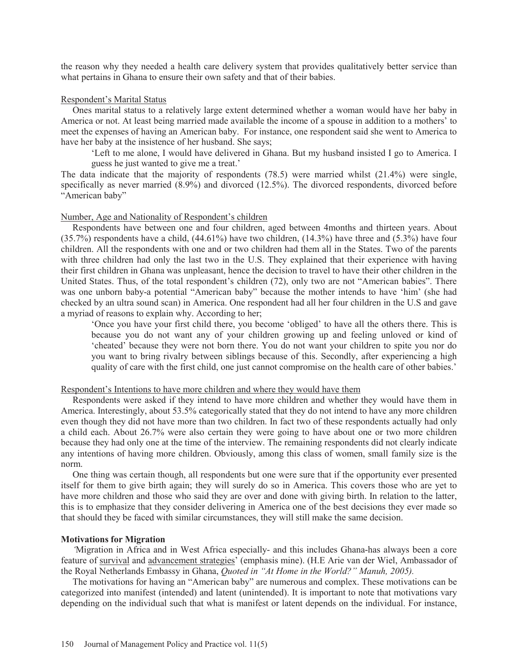the reason why they needed a health care delivery system that provides qualitatively better service than what pertains in Ghana to ensure their own safety and that of their babies.

#### Respondent's Marital Status

 Ones marital status to a relatively large extent determined whether a woman would have her baby in America or not. At least being married made available the income of a spouse in addition to a mothers' to meet the expenses of having an American baby. For instance, one respondent said she went to America to have her baby at the insistence of her husband. She says;

'Left to me alone, I would have delivered in Ghana. But my husband insisted I go to America. I guess he just wanted to give me a treat.'

The data indicate that the majority of respondents (78.5) were married whilst (21.4%) were single, specifically as never married (8.9%) and divorced (12.5%). The divorced respondents, divorced before "American baby"

#### Number, Age and Nationality of Respondent's children

 Respondents have between one and four children, aged between 4months and thirteen years. About  $(35.7\%)$  respondents have a child,  $(44.61\%)$  have two children,  $(14.3\%)$  have three and  $(5.3\%)$  have four children. All the respondents with one and or two children had them all in the States. Two of the parents with three children had only the last two in the U.S. They explained that their experience with having their first children in Ghana was unpleasant, hence the decision to travel to have their other children in the United States. Thus, of the total respondent's children (72), only two are not "American babies". There was one unborn baby-a potential "American baby" because the mother intends to have 'him' (she had checked by an ultra sound scan) in America. One respondent had all her four children in the U.S and gave a myriad of reasons to explain why. According to her;

'Once you have your first child there, you become 'obliged' to have all the others there. This is because you do not want any of your children growing up and feeling unloved or kind of 'cheated' because they were not born there. You do not want your children to spite you nor do you want to bring rivalry between siblings because of this. Secondly, after experiencing a high quality of care with the first child, one just cannot compromise on the health care of other babies.'

#### Respondent's Intentions to have more children and where they would have them

 Respondents were asked if they intend to have more children and whether they would have them in America. Interestingly, about 53.5% categorically stated that they do not intend to have any more children even though they did not have more than two children. In fact two of these respondents actually had only a child each. About 26.7% were also certain they were going to have about one or two more children because they had only one at the time of the interview. The remaining respondents did not clearly indicate any intentions of having more children. Obviously, among this class of women, small family size is the norm.

 One thing was certain though, all respondents but one were sure that if the opportunity ever presented itself for them to give birth again; they will surely do so in America. This covers those who are yet to have more children and those who said they are over and done with giving birth. In relation to the latter, this is to emphasize that they consider delivering in America one of the best decisions they ever made so that should they be faced with similar circumstances, they will still make the same decision.

# **Motivations for Migration**

 *'*Migration in Africa and in West Africa especially- and this includes Ghana-has always been a core feature of survival and advancement strategies' (emphasis mine). (H.E Arie van der Wiel, Ambassador of the Royal Netherlands Embassy in Ghana, *Quoted in "At Home in the World?" Manuh, 2005).* 

 The motivations for having an "American baby" are numerous and complex. These motivations can be categorized into manifest (intended) and latent (unintended). It is important to note that motivations vary depending on the individual such that what is manifest or latent depends on the individual. For instance,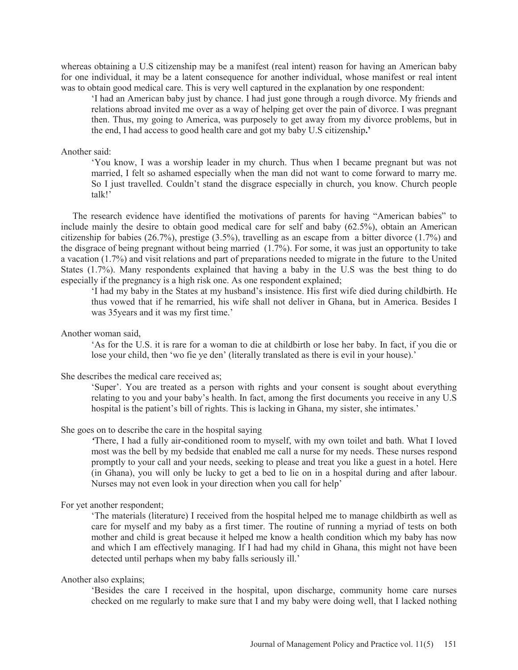whereas obtaining a U.S citizenship may be a manifest (real intent) reason for having an American baby for one individual, it may be a latent consequence for another individual, whose manifest or real intent was to obtain good medical care. This is very well captured in the explanation by one respondent:

'I had an American baby just by chance. I had just gone through a rough divorce. My friends and relations abroad invited me over as a way of helping get over the pain of divorce. I was pregnant then. Thus, my going to America, was purposely to get away from my divorce problems, but in the end, I had access to good health care and got my baby U.S citizenship**.'** 

#### Another said:

'You know, I was a worship leader in my church. Thus when I became pregnant but was not married, I felt so ashamed especially when the man did not want to come forward to marry me. So I just travelled. Couldn't stand the disgrace especially in church, you know. Church people talk!'

 The research evidence have identified the motivations of parents for having "American babies" to include mainly the desire to obtain good medical care for self and baby (62.5%), obtain an American citizenship for babies (26.7%), prestige (3.5%), travelling as an escape from a bitter divorce (1.7%) and the disgrace of being pregnant without being married  $(1.7\%)$ . For some, it was just an opportunity to take a vacation (1.7%) and visit relations and part of preparations needed to migrate in the future to the United States (1.7%). Many respondents explained that having a baby in the U.S was the best thing to do especially if the pregnancy is a high risk one. As one respondent explained;

'I had my baby in the States at my husband's insistence. His first wife died during childbirth. He thus vowed that if he remarried, his wife shall not deliver in Ghana, but in America. Besides I was 35years and it was my first time.'

### Another woman said,

'As for the U.S. it is rare for a woman to die at childbirth or lose her baby. In fact, if you die or lose your child, then 'wo fie ye den' (literally translated as there is evil in your house).'

# She describes the medical care received as;

'Super'. You are treated as a person with rights and your consent is sought about everything relating to you and your baby's health. In fact, among the first documents you receive in any U.S hospital is the patient's bill of rights. This is lacking in Ghana, my sister, she intimates.'

# She goes on to describe the care in the hospital saying

*'*There, I had a fully air-conditioned room to myself, with my own toilet and bath. What I loved most was the bell by my bedside that enabled me call a nurse for my needs. These nurses respond promptly to your call and your needs, seeking to please and treat you like a guest in a hotel. Here (in Ghana), you will only be lucky to get a bed to lie on in a hospital during and after labour. Nurses may not even look in your direction when you call for help'

#### For yet another respondent;

'The materials (literature) I received from the hospital helped me to manage childbirth as well as care for myself and my baby as a first timer. The routine of running a myriad of tests on both mother and child is great because it helped me know a health condition which my baby has now and which I am effectively managing. If I had had my child in Ghana, this might not have been detected until perhaps when my baby falls seriously ill.'

#### Another also explains;

'Besides the care I received in the hospital, upon discharge, community home care nurses checked on me regularly to make sure that I and my baby were doing well, that I lacked nothing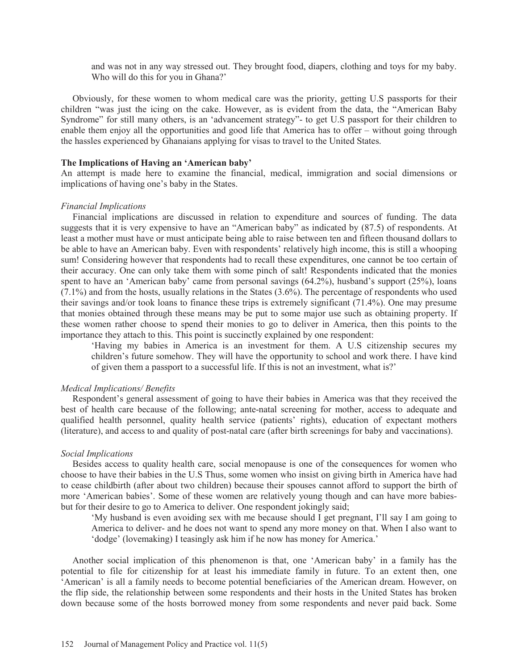and was not in any way stressed out. They brought food, diapers, clothing and toys for my baby. Who will do this for you in Ghana?'

 Obviously, for these women to whom medical care was the priority, getting U.S passports for their children "was just the icing on the cake. However, as is evident from the data, the "American Baby Syndrome" for still many others, is an 'advancement strategy"- to get U.S passport for their children to enable them enjoy all the opportunities and good life that America has to offer – without going through the hassles experienced by Ghanaians applying for visas to travel to the United States.

# **The Implications of Having an 'American baby'**

An attempt is made here to examine the financial, medical, immigration and social dimensions or implications of having one's baby in the States.

#### *Financial Implications*

 Financial implications are discussed in relation to expenditure and sources of funding. The data suggests that it is very expensive to have an "American baby" as indicated by (87.5) of respondents. At least a mother must have or must anticipate being able to raise between ten and fifteen thousand dollars to be able to have an American baby. Even with respondents' relatively high income, this is still a whooping sum! Considering however that respondents had to recall these expenditures, one cannot be too certain of their accuracy. One can only take them with some pinch of salt! Respondents indicated that the monies spent to have an 'American baby' came from personal savings (64.2%), husband's support (25%), loans  $(7.1\%)$  and from the hosts, usually relations in the States  $(3.6\%)$ . The percentage of respondents who used their savings and/or took loans to finance these trips is extremely significant (71.4%). One may presume that monies obtained through these means may be put to some major use such as obtaining property. If these women rather choose to spend their monies to go to deliver in America, then this points to the importance they attach to this. This point is succinctly explained by one respondent:

'Having my babies in America is an investment for them. A U.S citizenship secures my children's future somehow. They will have the opportunity to school and work there. I have kind of given them a passport to a successful life. If this is not an investment, what is?'

#### *Medical Implications/ Benefits*

 Respondent's general assessment of going to have their babies in America was that they received the best of health care because of the following; ante-natal screening for mother, access to adequate and qualified health personnel, quality health service (patients' rights), education of expectant mothers (literature), and access to and quality of post-natal care (after birth screenings for baby and vaccinations).

#### *Social Implications*

 Besides access to quality health care, social menopause is one of the consequences for women who choose to have their babies in the U.S Thus, some women who insist on giving birth in America have had to cease childbirth (after about two children) because their spouses cannot afford to support the birth of more 'American babies'. Some of these women are relatively young though and can have more babiesbut for their desire to go to America to deliver. One respondent jokingly said;

'My husband is even avoiding sex with me because should I get pregnant, I'll say I am going to America to deliver- and he does not want to spend any more money on that. When I also want to 'dodge' (lovemaking) I teasingly ask him if he now has money for America.'

 Another social implication of this phenomenon is that, one 'American baby' in a family has the potential to file for citizenship for at least his immediate family in future. To an extent then, one 'American' is all a family needs to become potential beneficiaries of the American dream. However, on the flip side, the relationship between some respondents and their hosts in the United States has broken down because some of the hosts borrowed money from some respondents and never paid back. Some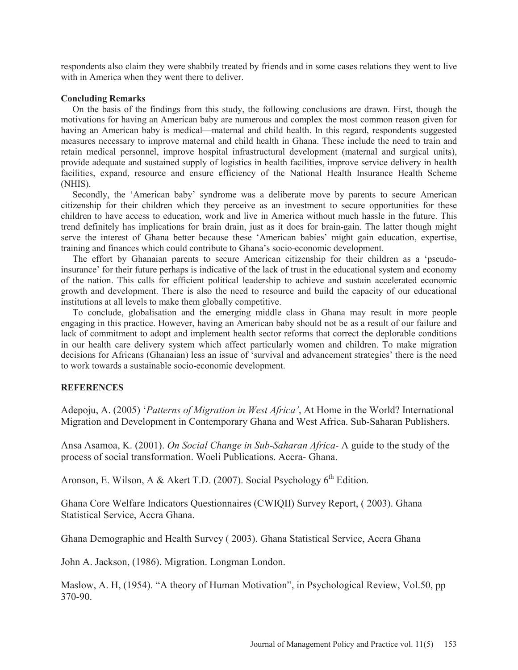respondents also claim they were shabbily treated by friends and in some cases relations they went to live with in America when they went there to deliver.

## **Concluding Remarks**

 On the basis of the findings from this study, the following conclusions are drawn. First, though the motivations for having an American baby are numerous and complex the most common reason given for having an American baby is medical—maternal and child health. In this regard, respondents suggested measures necessary to improve maternal and child health in Ghana. These include the need to train and retain medical personnel, improve hospital infrastructural development (maternal and surgical units), provide adequate and sustained supply of logistics in health facilities, improve service delivery in health facilities, expand, resource and ensure efficiency of the National Health Insurance Health Scheme (NHIS).

 Secondly, the 'American baby' syndrome was a deliberate move by parents to secure American citizenship for their children which they perceive as an investment to secure opportunities for these children to have access to education, work and live in America without much hassle in the future. This trend definitely has implications for brain drain, just as it does for brain-gain. The latter though might serve the interest of Ghana better because these 'American babies' might gain education, expertise, training and finances which could contribute to Ghana's socio-economic development.

 The effort by Ghanaian parents to secure American citizenship for their children as a 'pseudoinsurance' for their future perhaps is indicative of the lack of trust in the educational system and economy of the nation. This calls for efficient political leadership to achieve and sustain accelerated economic growth and development. There is also the need to resource and build the capacity of our educational institutions at all levels to make them globally competitive.

 To conclude, globalisation and the emerging middle class in Ghana may result in more people engaging in this practice. However, having an American baby should not be as a result of our failure and lack of commitment to adopt and implement health sector reforms that correct the deplorable conditions in our health care delivery system which affect particularly women and children. To make migration decisions for Africans (Ghanaian) less an issue of 'survival and advancement strategies' there is the need to work towards a sustainable socio-economic development.

# **REFERENCES**

Adepoju, A. (2005) '*Patterns of Migration in West Africa'*, At Home in the World? International Migration and Development in Contemporary Ghana and West Africa. Sub-Saharan Publishers.

Ansa Asamoa, K. (2001). *On Social Change in Sub-Saharan Africa*- A guide to the study of the process of social transformation. Woeli Publications. Accra- Ghana.

Aronson, E. Wilson, A & Akert T.D. (2007). Social Psychology  $6<sup>th</sup>$  Edition.

Ghana Core Welfare Indicators Questionnaires (CWIQII) Survey Report, ( 2003). Ghana Statistical Service, Accra Ghana.

Ghana Demographic and Health Survey ( 2003). Ghana Statistical Service, Accra Ghana

John A. Jackson, (1986). Migration. Longman London.

Maslow, A. H, (1954). "A theory of Human Motivation", in Psychological Review, Vol.50, pp 370-90.